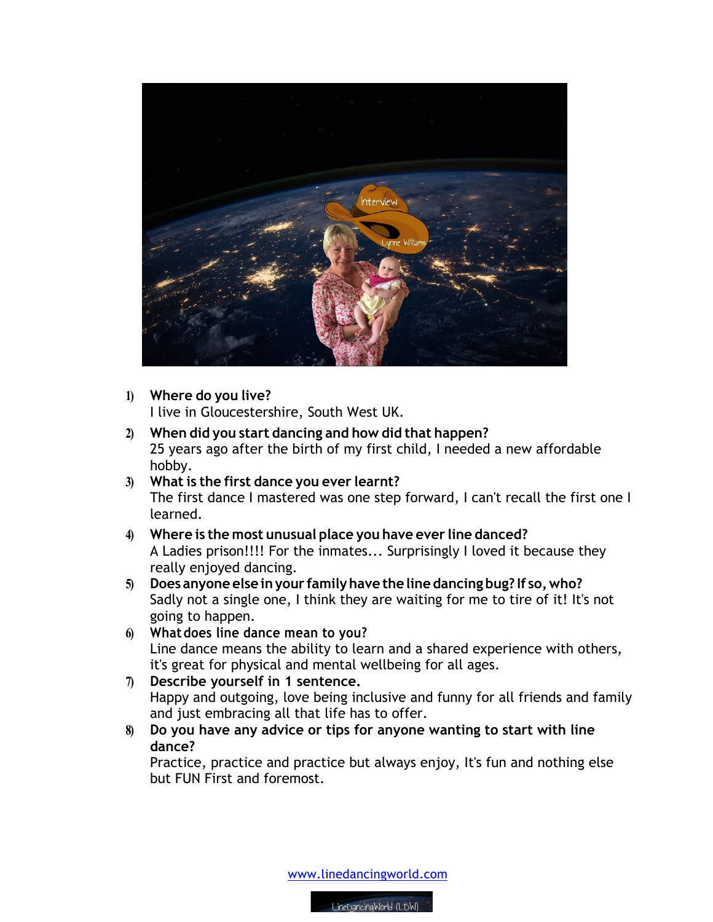

**1) Where do you live?**

I live in Gloucestershire, South West UK.

- **2) When did you start dancing and how did that happen?** 25 years ago after the birth of my first child, I needed a new affordable hobby.
- **3) What is the first dance you ever learnt?** The first dance I mastered was one step forward, I can't recall the first one I learned.
- **4) Where is the most unusual place you have ever line danced?** A Ladies prison!!!! For the inmates... Surprisingly I loved it because they really enjoyed dancing.
- **5) Does anyone else inyour familyhave the line dancing bug? If so,who?** Sadly not a single one, I think they are waiting for me to tire of it! It's not going to happen.
- **6) Whatdoes line dance mean to you?** Line dance means the ability to learn and a shared experience with others, it's great for physical and mental wellbeing for all ages.
- **7) Describe yourself in 1 sentence.**  Happy and outgoing, love being inclusive and funny for all friends and family and just embracing all that life has to offer.
- **8) Do you have any advice or tips for anyone wanting to start with line dance?**

Practice, practice and practice but always enjoy, It's fun and nothing else but FUN First and foremost.

www.linedancingworld.com

LineDancingWorld (LDW)